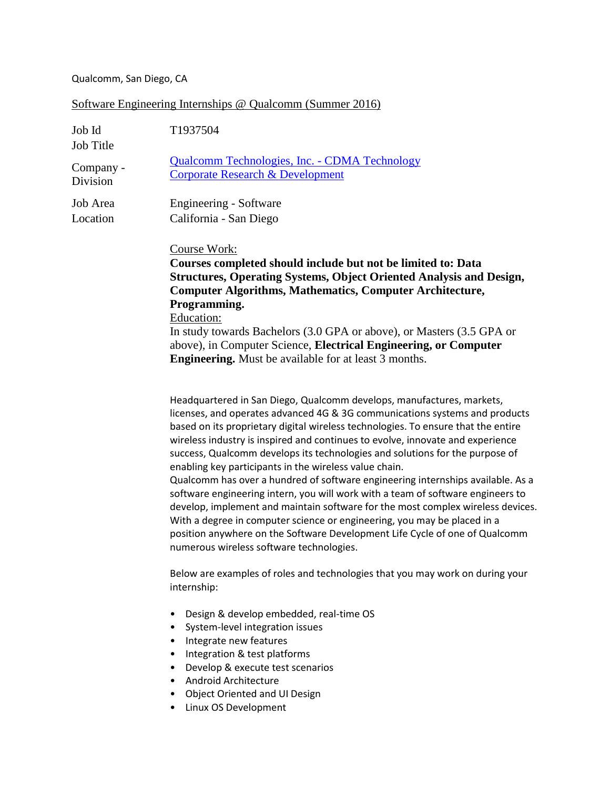## Qualcomm, San Diego, CA

## Software Engineering Internships @ Qualcomm (Summer 2016)

| Job Id<br><b>Job Title</b> | T1937504                                                                                                                                                                                                                                                                                                                                                                                                                                                                                                                                                                                                                                                                                                                                                                                                                                                                                                                              |
|----------------------------|---------------------------------------------------------------------------------------------------------------------------------------------------------------------------------------------------------------------------------------------------------------------------------------------------------------------------------------------------------------------------------------------------------------------------------------------------------------------------------------------------------------------------------------------------------------------------------------------------------------------------------------------------------------------------------------------------------------------------------------------------------------------------------------------------------------------------------------------------------------------------------------------------------------------------------------|
| Company -<br>Division      | <b>Qualcomm Technologies, Inc. - CDMA Technology</b><br><b>Corporate Research &amp; Development</b>                                                                                                                                                                                                                                                                                                                                                                                                                                                                                                                                                                                                                                                                                                                                                                                                                                   |
| Job Area<br>Location       | Engineering - Software<br>California - San Diego                                                                                                                                                                                                                                                                                                                                                                                                                                                                                                                                                                                                                                                                                                                                                                                                                                                                                      |
|                            | Course Work:<br>Courses completed should include but not be limited to: Data<br><b>Structures, Operating Systems, Object Oriented Analysis and Design,</b><br><b>Computer Algorithms, Mathematics, Computer Architecture,</b><br>Programming.<br>Education:<br>In study towards Bachelors (3.0 GPA or above), or Masters (3.5 GPA or<br>above), in Computer Science, Electrical Engineering, or Computer<br><b>Engineering.</b> Must be available for at least 3 months.                                                                                                                                                                                                                                                                                                                                                                                                                                                              |
|                            | Headquartered in San Diego, Qualcomm develops, manufactures, markets,<br>licenses, and operates advanced 4G & 3G communications systems and products<br>based on its proprietary digital wireless technologies. To ensure that the entire<br>wireless industry is inspired and continues to evolve, innovate and experience<br>success, Qualcomm develops its technologies and solutions for the purpose of<br>enabling key participants in the wireless value chain.<br>Qualcomm has over a hundred of software engineering internships available. As a<br>software engineering intern, you will work with a team of software engineers to<br>develop, implement and maintain software for the most complex wireless devices.<br>With a degree in computer science or engineering, you may be placed in a<br>position anywhere on the Software Development Life Cycle of one of Qualcomm<br>numerous wireless software technologies. |
|                            | Below are examples of roles and technologies that you may work on during your<br>internship:                                                                                                                                                                                                                                                                                                                                                                                                                                                                                                                                                                                                                                                                                                                                                                                                                                          |
|                            | Design & develop embedded, real-time OS<br>$\bullet$<br>System-level integration issues<br>$\bullet$<br>Integrate new features<br>٠<br>Integration & test platforms<br>$\bullet$<br>Develop & execute test scenarios<br>$\bullet$<br>Android Architecture<br>٠<br>Object Oriented and UI Design<br>٠<br>Linux OS Development<br>٠                                                                                                                                                                                                                                                                                                                                                                                                                                                                                                                                                                                                     |